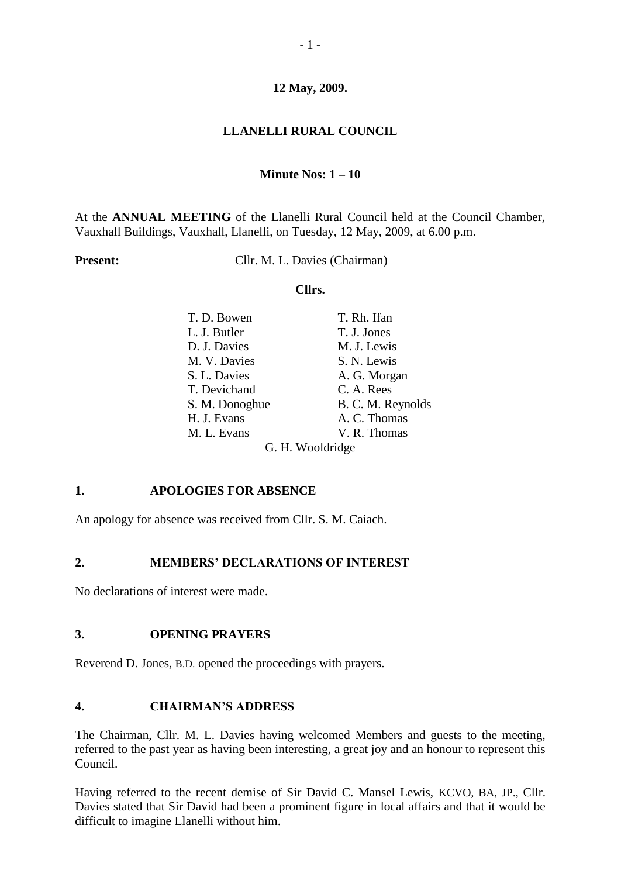## **12 May, 2009.**

## **LLANELLI RURAL COUNCIL**

#### **Minute Nos: 1 – 10**

At the **ANNUAL MEETING** of the Llanelli Rural Council held at the Council Chamber, Vauxhall Buildings, Vauxhall, Llanelli, on Tuesday, 12 May, 2009, at 6.00 p.m.

**Present:** Cllr. M. L. Davies (Chairman)

#### **Cllrs.**

| T. D. Bowen      | T. Rh. Ifan       |
|------------------|-------------------|
| L. J. Butler     | T. J. Jones       |
| D. J. Davies     | M. J. Lewis       |
| M. V. Davies     | S. N. Lewis       |
| S. L. Davies     | A. G. Morgan      |
| T. Devichand     | C. A. Rees        |
| S. M. Donoghue   | B. C. M. Reynolds |
| H. J. Evans      | A. C. Thomas      |
| M. L. Evans      | V. R. Thomas      |
| G. H. Wooldridge |                   |

# **1. APOLOGIES FOR ABSENCE**

An apology for absence was received from Cllr. S. M. Caiach.

#### **2. MEMBERS' DECLARATIONS OF INTEREST**

No declarations of interest were made.

#### **3. OPENING PRAYERS**

Reverend D. Jones, B.D. opened the proceedings with prayers.

#### **4. CHAIRMAN'S ADDRESS**

The Chairman, Cllr. M. L. Davies having welcomed Members and guests to the meeting, referred to the past year as having been interesting, a great joy and an honour to represent this Council.

Having referred to the recent demise of Sir David C. Mansel Lewis, KCVO, BA, JP., Cllr. Davies stated that Sir David had been a prominent figure in local affairs and that it would be difficult to imagine Llanelli without him.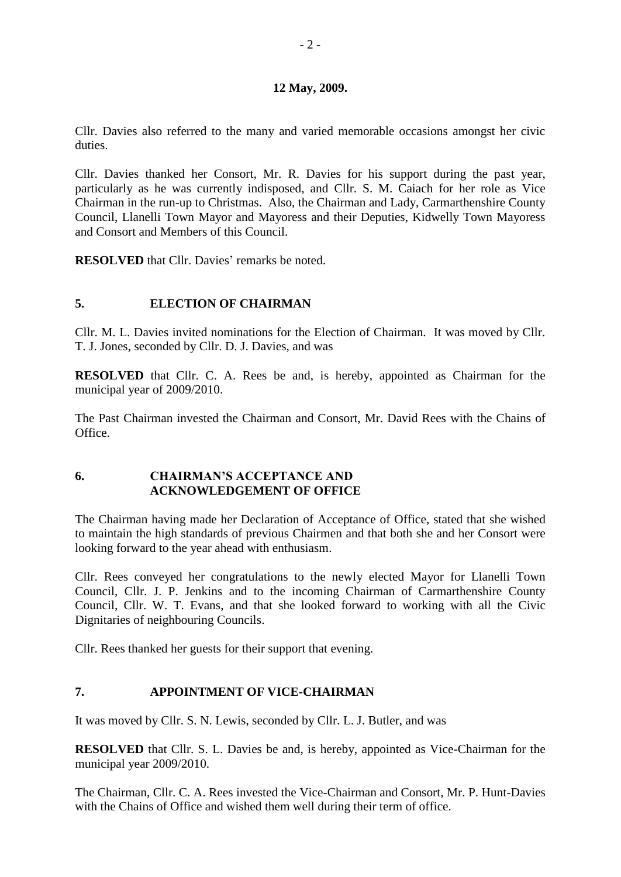#### **12 May, 2009.**

Cllr. Davies also referred to the many and varied memorable occasions amongst her civic duties.

Cllr. Davies thanked her Consort, Mr. R. Davies for his support during the past year, particularly as he was currently indisposed, and Cllr. S. M. Caiach for her role as Vice Chairman in the run-up to Christmas. Also, the Chairman and Lady, Carmarthenshire County Council, Llanelli Town Mayor and Mayoress and their Deputies, Kidwelly Town Mayoress and Consort and Members of this Council.

**RESOLVED** that Cllr. Davies' remarks be noted.

# **5. ELECTION OF CHAIRMAN**

Cllr. M. L. Davies invited nominations for the Election of Chairman. It was moved by Cllr. T. J. Jones, seconded by Cllr. D. J. Davies, and was

**RESOLVED** that Cllr. C. A. Rees be and, is hereby, appointed as Chairman for the municipal year of 2009/2010.

The Past Chairman invested the Chairman and Consort, Mr. David Rees with the Chains of Office.

## **6. CHAIRMAN'S ACCEPTANCE AND ACKNOWLEDGEMENT OF OFFICE**

The Chairman having made her Declaration of Acceptance of Office, stated that she wished to maintain the high standards of previous Chairmen and that both she and her Consort were looking forward to the year ahead with enthusiasm.

Cllr. Rees conveyed her congratulations to the newly elected Mayor for Llanelli Town Council, Cllr. J. P. Jenkins and to the incoming Chairman of Carmarthenshire County Council, Cllr. W. T. Evans, and that she looked forward to working with all the Civic Dignitaries of neighbouring Councils.

Cllr. Rees thanked her guests for their support that evening.

#### **7. APPOINTMENT OF VICE-CHAIRMAN**

It was moved by Cllr. S. N. Lewis, seconded by Cllr. L. J. Butler, and was

**RESOLVED** that Cllr. S. L. Davies be and, is hereby, appointed as Vice-Chairman for the municipal year 2009/2010.

The Chairman, Cllr. C. A. Rees invested the Vice-Chairman and Consort, Mr. P. Hunt-Davies with the Chains of Office and wished them well during their term of office.